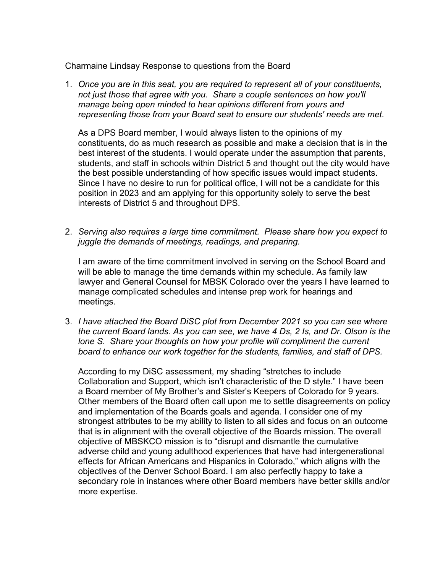Charmaine Lindsay Response to questions from the Board

1. *Once you are in this seat, you are required to represent all of your constituents, not just those that agree with you. Share a couple sentences on how you'll manage being open minded to hear opinions different from yours and representing those from your Board seat to ensure our students' needs are met.*

As a DPS Board member, I would always listen to the opinions of my constituents, do as much research as possible and make a decision that is in the best interest of the students. I would operate under the assumption that parents, students, and staff in schools within District 5 and thought out the city would have the best possible understanding of how specific issues would impact students. Since I have no desire to run for political office, I will not be a candidate for this position in 2023 and am applying for this opportunity solely to serve the best interests of District 5 and throughout DPS.

2. *Serving also requires a large time commitment. Please share how you expect to juggle the demands of meetings, readings, and preparing.*

I am aware of the time commitment involved in serving on the School Board and will be able to manage the time demands within my schedule. As family law lawyer and General Counsel for MBSK Colorado over the years I have learned to manage complicated schedules and intense prep work for hearings and meetings.

3. *I have attached the Board DiSC plot from December 2021 so you can see where the current Board lands. As you can see, we have 4 Ds, 2 Is, and Dr. Olson is the*  lone S. Share your thoughts on how your profile will compliment the current *board to enhance our work together for the students, families, and staff of DPS.*

According to my DiSC assessment, my shading "stretches to include Collaboration and Support, which isn't characteristic of the D style." I have been a Board member of My Brother's and Sister's Keepers of Colorado for 9 years. Other members of the Board often call upon me to settle disagreements on policy and implementation of the Boards goals and agenda. I consider one of my strongest attributes to be my ability to listen to all sides and focus on an outcome that is in alignment with the overall objective of the Boards mission. The overall objective of MBSKCO mission is to "disrupt and dismantle the cumulative adverse child and young adulthood experiences that have had intergenerational effects for African Americans and Hispanics in Colorado," which aligns with the objectives of the Denver School Board. I am also perfectly happy to take a secondary role in instances where other Board members have better skills and/or more expertise.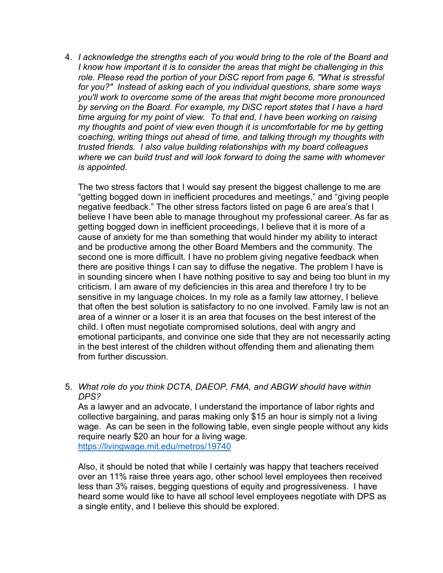4. *I acknowledge the strengths each of you would bring to the role of the Board and I know how important it is to consider the areas that might be challenging in this role. Please read the portion of your DiSC report from page 6, "What is stressful for you?" Instead of asking each of you individual questions, share some ways you'll work to overcome some of the areas that might become more pronounced by serving on the Board. For example, my DiSC report states that I have a hard time arguing for my point of view. To that end, I have been working on raising my thoughts and point of view even though it is uncomfortable for me by getting coaching, writing things out ahead of time, and talking through my thoughts with trusted friends. I also value building relationships with my board colleagues where we can build trust and will look forward to doing the same with whomever is appointed.*

The two stress factors that I would say present the biggest challenge to me are "getting bogged down in inefficient procedures and meetings," and "giving people negative feedback." The other stress factors listed on page 6 are area's that I believe I have been able to manage throughout my professional career. As far as getting bogged down in inefficient proceedings, I believe that it is more of a cause of anxiety for me than something that would hinder my ability to interact and be productive among the other Board Members and the community. The second one is more difficult. I have no problem giving negative feedback when there are positive things I can say to diffuse the negative. The problem I have is in sounding sincere when I have nothing positive to say and being too blunt in my criticism. I am aware of my deficiencies in this area and therefore I try to be sensitive in my language choices. In my role as a family law attorney, I believe that often the best solution is satisfactory to no one involved. Family law is not an area of a winner or a loser it is an area that focuses on the best interest of the child. I often must negotiate compromised solutions, deal with angry and emotional participants, and convince one side that they are not necessarily acting in the best interest of the children without offending them and alienating them from further discussion.

5. *What role do you think DCTA, DAEOP, FMA, and ABGW should have within DPS?*

As a lawyer and an advocate, I understand the importance of labor rights and collective bargaining, and paras making only \$15 an hour is simply not a living wage. As can be seen in the following table, even single people without any kids require nearly \$20 an hour for a living wage. https://livingwage.mit.edu/metros/19740

Also, it should be noted that while I certainly was happy that teachers received over an 11% raise three years ago, other school level employees then received less than 3% raises, begging questions of equity and progressiveness. I have heard some would like to have all school level employees negotiate with DPS as a single entity, and I believe this should be explored.